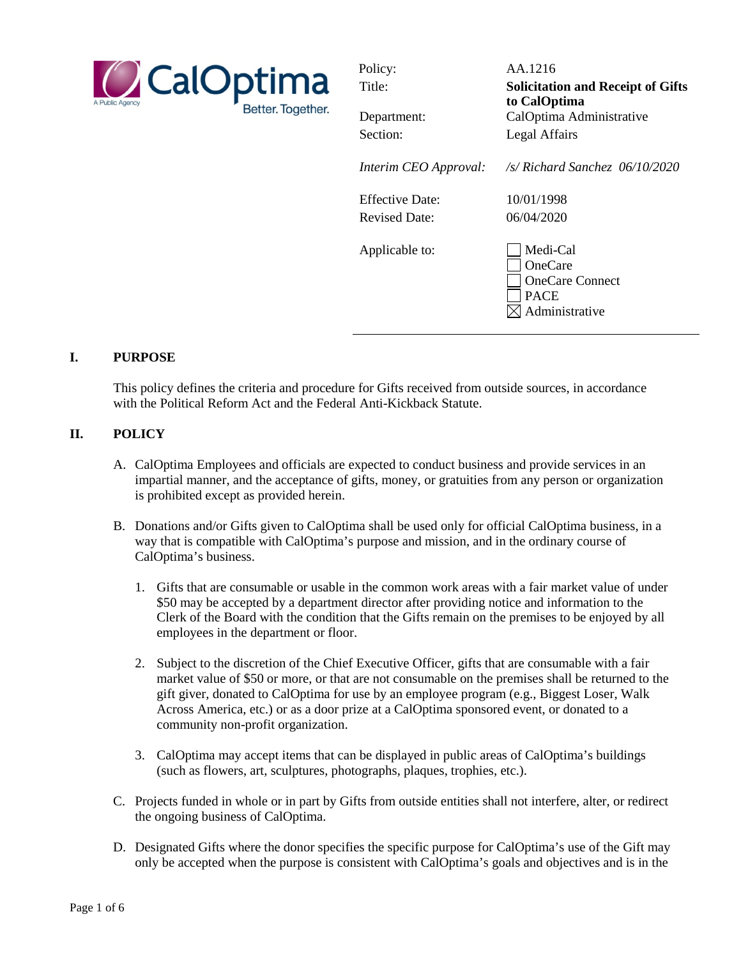

| Policy:                | AA.1216                                                                               |
|------------------------|---------------------------------------------------------------------------------------|
| Title:                 | <b>Solicitation and Receipt of Gifts</b>                                              |
|                        | to CalOptima                                                                          |
| Department:            | CalOptima Administrative                                                              |
| Section:               | Legal Affairs                                                                         |
| Interim CEO Approval:  | $\sqrt{s}$ Richard Sanchez 06/10/2020                                                 |
| <b>Effective Date:</b> | 10/01/1998                                                                            |
| <b>Revised Date:</b>   | 06/04/2020                                                                            |
| Applicable to:         | Medi-Cal<br><b>OneCare</b><br><b>OneCare Connect</b><br><b>PACE</b><br>Administrative |

#### **I. PURPOSE**

This policy defines the criteria and procedure for Gifts received from outside sources, in accordance with the Political Reform Act and the Federal Anti-Kickback Statute.

#### **II. POLICY**

- A. CalOptima Employees and officials are expected to conduct business and provide services in an impartial manner, and the acceptance of gifts, money, or gratuities from any person or organization is prohibited except as provided herein.
- B. Donations and/or Gifts given to CalOptima shall be used only for official CalOptima business, in a way that is compatible with CalOptima's purpose and mission, and in the ordinary course of CalOptima's business.
	- 1. Gifts that are consumable or usable in the common work areas with a fair market value of under \$50 may be accepted by a department director after providing notice and information to the Clerk of the Board with the condition that the Gifts remain on the premises to be enjoyed by all employees in the department or floor.
	- 2. Subject to the discretion of the Chief Executive Officer, gifts that are consumable with a fair market value of \$50 or more, or that are not consumable on the premises shall be returned to the gift giver, donated to CalOptima for use by an employee program (e.g., Biggest Loser, Walk Across America, etc.) or as a door prize at a CalOptima sponsored event, or donated to a community non-profit organization.
	- 3. CalOptima may accept items that can be displayed in public areas of CalOptima's buildings (such as flowers, art, sculptures, photographs, plaques, trophies, etc.).
- C. Projects funded in whole or in part by Gifts from outside entities shall not interfere, alter, or redirect the ongoing business of CalOptima.
- D. Designated Gifts where the donor specifies the specific purpose for CalOptima's use of the Gift may only be accepted when the purpose is consistent with CalOptima's goals and objectives and is in the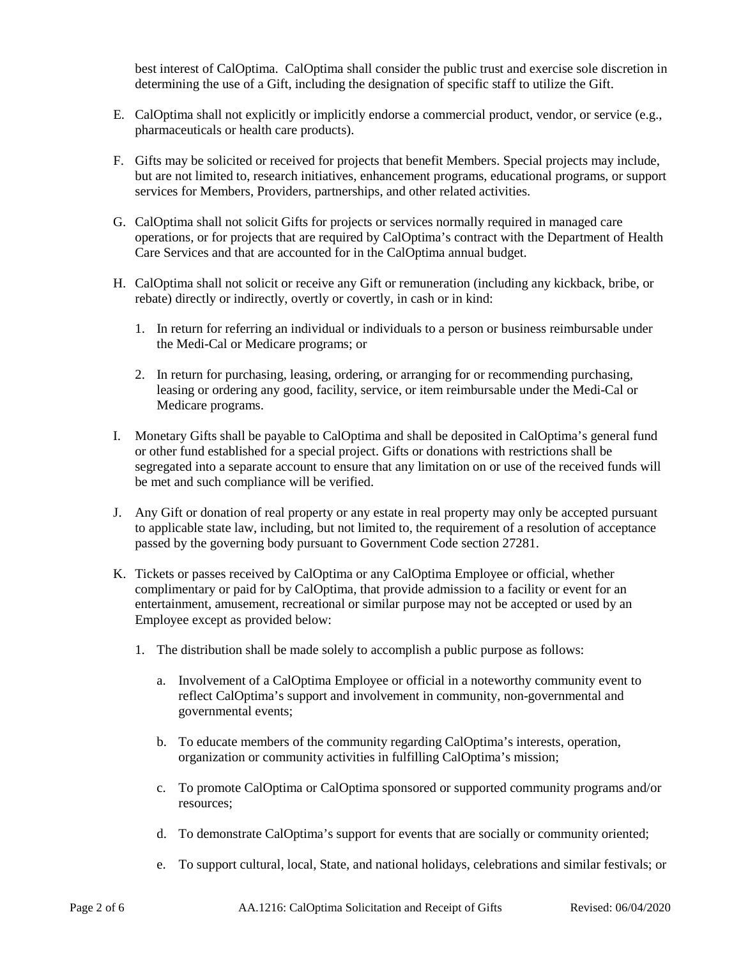best interest of CalOptima. CalOptima shall consider the public trust and exercise sole discretion in determining the use of a Gift, including the designation of specific staff to utilize the Gift.

- E. CalOptima shall not explicitly or implicitly endorse a commercial product, vendor, or service (e.g., pharmaceuticals or health care products).
- F. Gifts may be solicited or received for projects that benefit Members. Special projects may include, but are not limited to, research initiatives, enhancement programs, educational programs, or support services for Members, Providers, partnerships, and other related activities.
- G. CalOptima shall not solicit Gifts for projects or services normally required in managed care operations, or for projects that are required by CalOptima's contract with the Department of Health Care Services and that are accounted for in the CalOptima annual budget.
- H. CalOptima shall not solicit or receive any Gift or remuneration (including any kickback, bribe, or rebate) directly or indirectly, overtly or covertly, in cash or in kind:
	- 1. In return for referring an individual or individuals to a person or business reimbursable under the Medi-Cal or Medicare programs; or
	- 2. In return for purchasing, leasing, ordering, or arranging for or recommending purchasing, leasing or ordering any good, facility, service, or item reimbursable under the Medi-Cal or Medicare programs.
- I. Monetary Gifts shall be payable to CalOptima and shall be deposited in CalOptima's general fund or other fund established for a special project. Gifts or donations with restrictions shall be segregated into a separate account to ensure that any limitation on or use of the received funds will be met and such compliance will be verified.
- J. Any Gift or donation of real property or any estate in real property may only be accepted pursuant to applicable state law, including, but not limited to, the requirement of a resolution of acceptance passed by the governing body pursuant to Government Code section 27281.
- K. Tickets or passes received by CalOptima or any CalOptima Employee or official, whether complimentary or paid for by CalOptima, that provide admission to a facility or event for an entertainment, amusement, recreational or similar purpose may not be accepted or used by an Employee except as provided below:
	- 1. The distribution shall be made solely to accomplish a public purpose as follows:
		- a. Involvement of a CalOptima Employee or official in a noteworthy community event to reflect CalOptima's support and involvement in community, non-governmental and governmental events;
		- b. To educate members of the community regarding CalOptima's interests, operation, organization or community activities in fulfilling CalOptima's mission;
		- c. To promote CalOptima or CalOptima sponsored or supported community programs and/or resources;
		- d. To demonstrate CalOptima's support for events that are socially or community oriented;
		- e. To support cultural, local, State, and national holidays, celebrations and similar festivals; or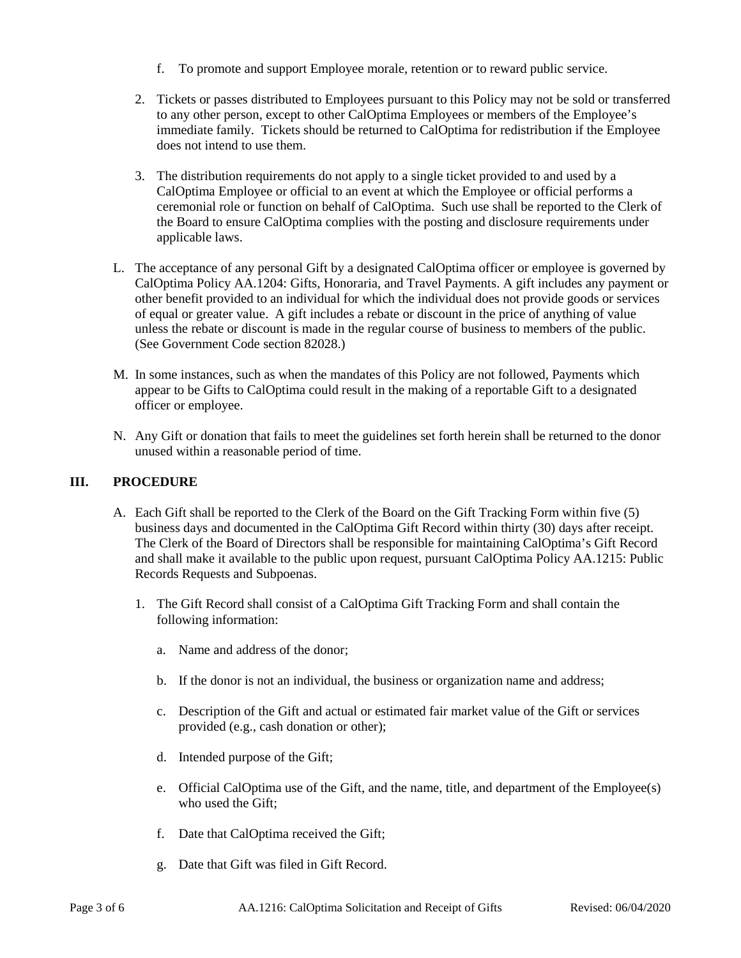- f. To promote and support Employee morale, retention or to reward public service.
- 2. Tickets or passes distributed to Employees pursuant to this Policy may not be sold or transferred to any other person, except to other CalOptima Employees or members of the Employee's immediate family. Tickets should be returned to CalOptima for redistribution if the Employee does not intend to use them.
- 3. The distribution requirements do not apply to a single ticket provided to and used by a CalOptima Employee or official to an event at which the Employee or official performs a ceremonial role or function on behalf of CalOptima. Such use shall be reported to the Clerk of the Board to ensure CalOptima complies with the posting and disclosure requirements under applicable laws.
- L. The acceptance of any personal Gift by a designated CalOptima officer or employee is governed by CalOptima Policy AA.1204: Gifts, Honoraria, and Travel Payments. A gift includes any payment or other benefit provided to an individual for which the individual does not provide goods or services of equal or greater value. A gift includes a rebate or discount in the price of anything of value unless the rebate or discount is made in the regular course of business to members of the public. (See Government Code section 82028.)
- M. In some instances, such as when the mandates of this Policy are not followed, Payments which appear to be Gifts to CalOptima could result in the making of a reportable Gift to a designated officer or employee.
- N. Any Gift or donation that fails to meet the guidelines set forth herein shall be returned to the donor unused within a reasonable period of time.

## **III. PROCEDURE**

- A. Each Gift shall be reported to the Clerk of the Board on the Gift Tracking Form within five (5) business days and documented in the CalOptima Gift Record within thirty (30) days after receipt. The Clerk of the Board of Directors shall be responsible for maintaining CalOptima's Gift Record and shall make it available to the public upon request, pursuant CalOptima Policy AA.1215: Public Records Requests and Subpoenas.
	- 1. The Gift Record shall consist of a CalOptima Gift Tracking Form and shall contain the following information:
		- a. Name and address of the donor;
		- b. If the donor is not an individual, the business or organization name and address;
		- c. Description of the Gift and actual or estimated fair market value of the Gift or services provided (e.g., cash donation or other);
		- d. Intended purpose of the Gift;
		- e. Official CalOptima use of the Gift, and the name, title, and department of the Employee(s) who used the Gift;
		- f. Date that CalOptima received the Gift;
		- g. Date that Gift was filed in Gift Record.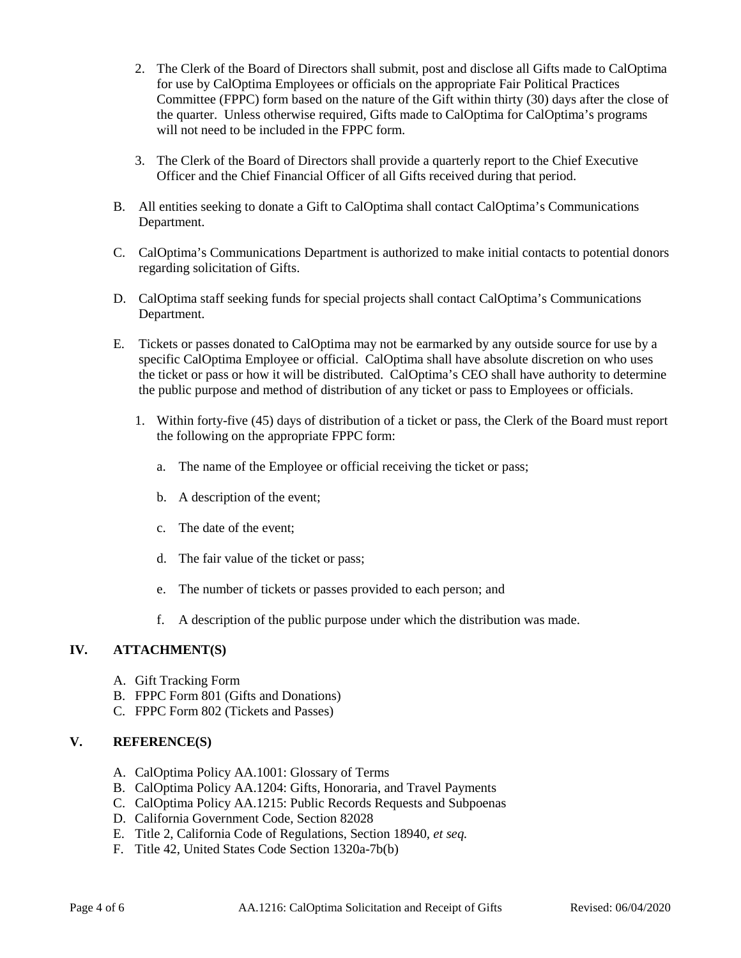- 2. The Clerk of the Board of Directors shall submit, post and disclose all Gifts made to CalOptima for use by CalOptima Employees or officials on the appropriate Fair Political Practices Committee (FPPC) form based on the nature of the Gift within thirty (30) days after the close of the quarter. Unless otherwise required, Gifts made to CalOptima for CalOptima's programs will not need to be included in the FPPC form.
- 3. The Clerk of the Board of Directors shall provide a quarterly report to the Chief Executive Officer and the Chief Financial Officer of all Gifts received during that period.
- B. All entities seeking to donate a Gift to CalOptima shall contact CalOptima's Communications Department.
- C. CalOptima's Communications Department is authorized to make initial contacts to potential donors regarding solicitation of Gifts.
- D. CalOptima staff seeking funds for special projects shall contact CalOptima's Communications Department.
- E. Tickets or passes donated to CalOptima may not be earmarked by any outside source for use by a specific CalOptima Employee or official. CalOptima shall have absolute discretion on who uses the ticket or pass or how it will be distributed. CalOptima's CEO shall have authority to determine the public purpose and method of distribution of any ticket or pass to Employees or officials.
	- 1. Within forty-five (45) days of distribution of a ticket or pass, the Clerk of the Board must report the following on the appropriate FPPC form:
		- a. The name of the Employee or official receiving the ticket or pass;
		- b. A description of the event;
		- c. The date of the event;
		- d. The fair value of the ticket or pass;
		- e. The number of tickets or passes provided to each person; and
		- f. A description of the public purpose under which the distribution was made.

## **IV. ATTACHMENT(S)**

- A. Gift Tracking Form
- B. FPPC Form 801 (Gifts and Donations)
- C. FPPC Form 802 (Tickets and Passes)

## **V. REFERENCE(S)**

- A. CalOptima Policy AA.1001: Glossary of Terms
- B. CalOptima Policy AA.1204: Gifts, Honoraria, and Travel Payments
- C. CalOptima Policy AA.1215: Public Records Requests and Subpoenas
- D. California Government Code, Section 82028
- E. Title 2, California Code of Regulations, Section 18940, *et seq.*
- F. Title 42, United States Code Section 1320a-7b(b)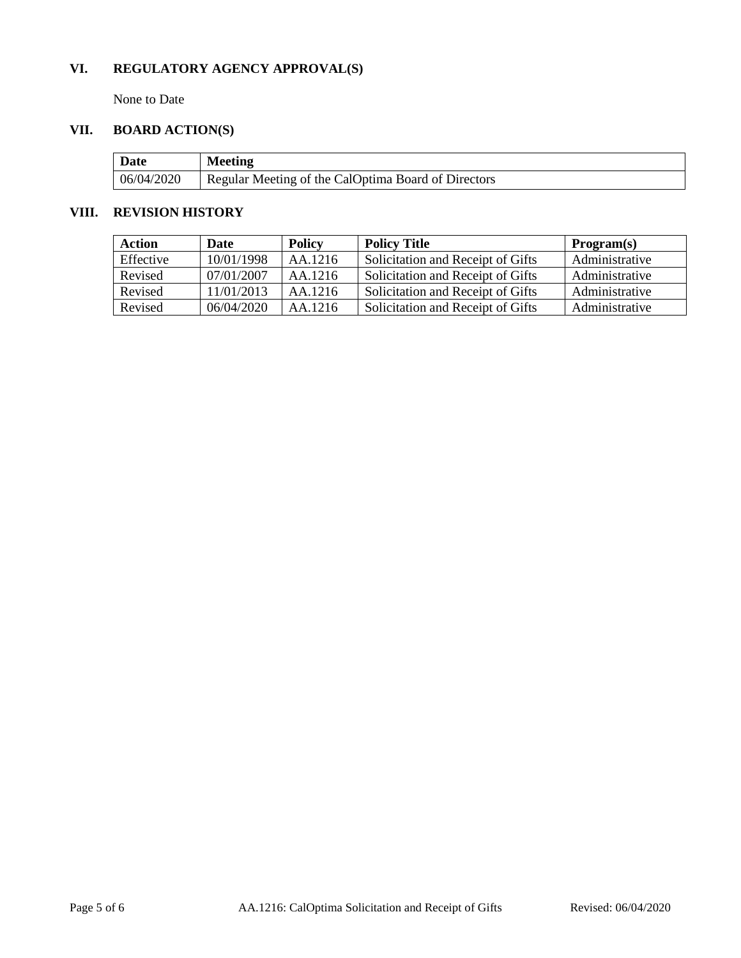# **VI. REGULATORY AGENCY APPROVAL(S)**

None to Date

# **VII. BOARD ACTION(S)**

| Date       | <b>Meeting</b>                                      |
|------------|-----------------------------------------------------|
| 06/04/2020 | Regular Meeting of the CalOptima Board of Directors |

#### **VIII. REVISION HISTORY**

| Action    | Date       | <b>Policy</b> | <b>Policy Title</b>               | Program(s)     |
|-----------|------------|---------------|-----------------------------------|----------------|
| Effective | 10/01/1998 | AA.1216       | Solicitation and Receipt of Gifts | Administrative |
| Revised   | 07/01/2007 | AA.1216       | Solicitation and Receipt of Gifts | Administrative |
| Revised   | 11/01/2013 | AA.1216       | Solicitation and Receipt of Gifts | Administrative |
| Revised   | 06/04/2020 | AA.1216       | Solicitation and Receipt of Gifts | Administrative |